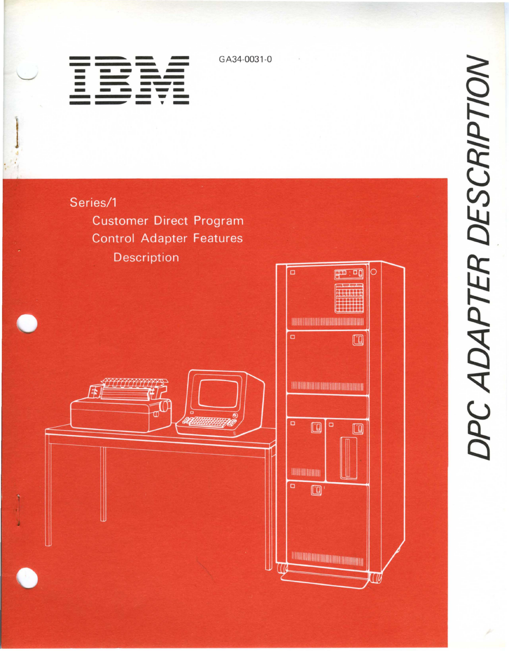

GA34-0031-0

# Series/1 **Customer Direct Program Control Adapter Features** Description po : og ō **THE REAL PROPERTY AND ALL PROPERTY**  $\Box$  $\Box$ **THURIAN DELIVERED AND LOCAL CONTRACTOR**  $\Box$ O 面 **THORNHOLME**  $\overline{a}$  $\boxed{1}$ **TERRITARIA DE LA PRODUCTIVA DEL TERRITORIA DEL TERRITORIA DEL TERRITORIA DEL TERRITORIA DEL TERRITORIA DEL TE**

# **DPC ADAPTER DESCRIPTION**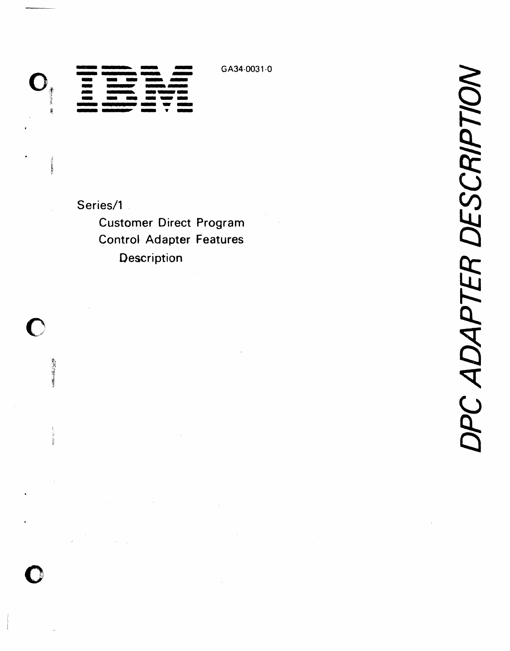GA34-0031-0

Series/1

我的时候

**Property** 

**Customer Direct Program Control Adapter Features** Description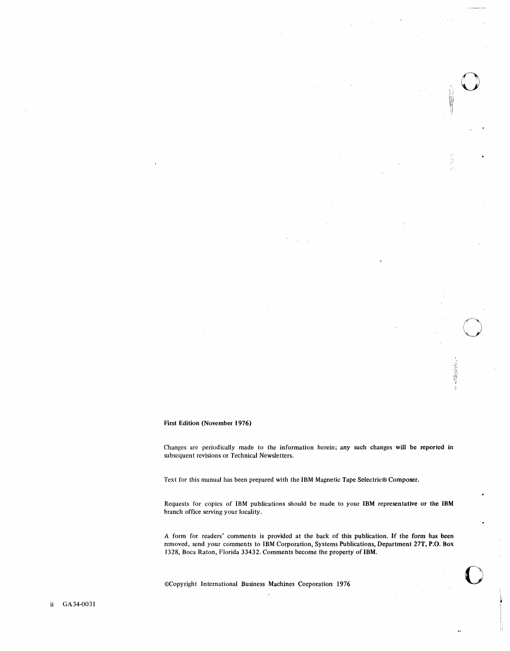### First Edition (November 1976)

Changes are periodically made to the information herein; any such changes will be reported in subsequent revisions or Technical Newsletters.

o

o

Text for this manual has been prepared with the IBM Magnetic Tape Selectric® Composer.

Requests for copies of IBM publications should be made to your IBM representative or the IBM branch office serving your locality.

A form for readers' comments is provided at the back of this publication. If the form has been removed, send your comments to IBM Corporation, Systems Publications, Department 27T, P.O. Box 1328, Boca Raton, Florida 33432. Comments become the property of IBM.

©Copyright International Business Machines Corporation 1976

 $\overline{\phantom{a}}$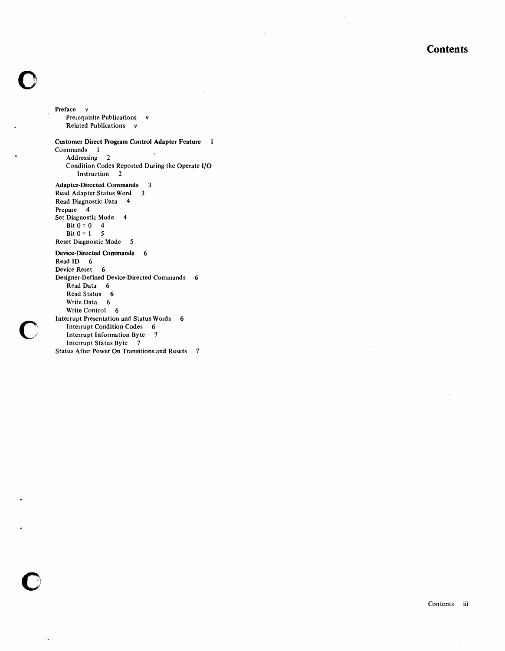**Contents** 

 $\sim$   $\sim$ 

Preface v Prerequisite Publications v Related Publications v Customer Direct Program Control Adapter Feature Commands 1 Addressing 2 Condition Codes Reported During the Operate I/O Instruction 2 Adapter-Directed Commands 3 Read Adapter Status Word 3 Read Diagnostic Data 4 Prepare 4 Set Diagnostic Mode 4 Bit  $0 = 0$  4 Bit  $0 = 1$  5 Reset Diagnostic Mode 5 Device-Directed Commands 6 Read **ID** 6 Device Reset 6 Designer-Defined Device-Directed Commands 6 Read Data 6 Read Status 6 Write Data 6 Write Control 6 Interrupt Presentation and Status Words 6 Interrupt Condition Codes 6 Interrupt Information Byte 7 Interrupt Status Byte 7 Status After Power On Transitions and Resets 7

o

o

o

Contents iii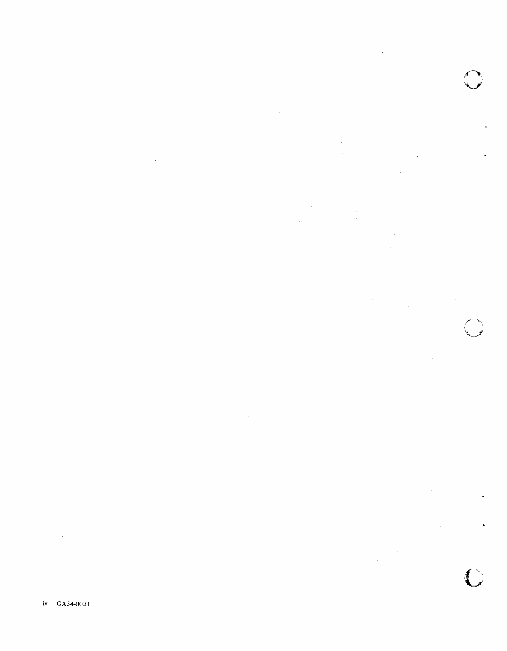$\ddot{\phantom{a}}$ 

 $\mathcal{L}$  $\overline{1}$ 

 $\mathcal{L}=\mathcal{L}$ 

GA34-0031  $\mathbf i \mathbf v$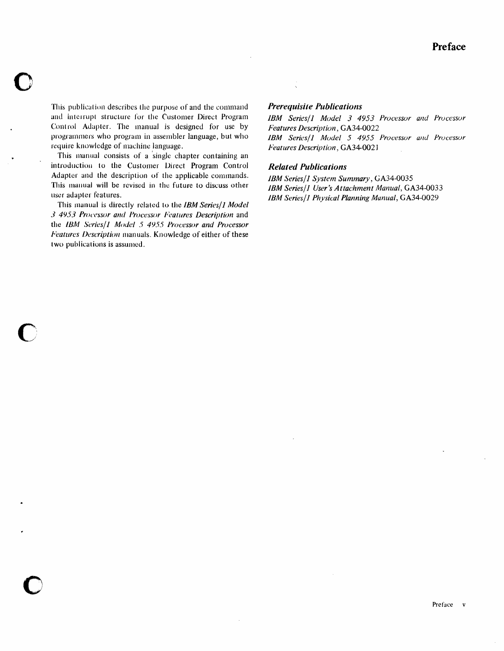This publication describes the purpose of and the command and interrupt structure for the Customer Direct Program Control Adapter. The manual is designed for use by programmers who program in assembler language, but who require knowledge of machine language.

o

o

This manual consists of a single chapter containing an introduction to the Customer Direct Program Control Adapter and the description of the applicable commands. This manual will be revised in the future to discuss other lIser adapter features.

This manual is directly related to the *IBM Series/1 Model* 3 4953 *Processor and Processor Features Description* and the *IBM Series/1 Model 5 4955 Processor and Processor Features Description* manuals. Knowledge of either of these two publications is assumed.

### *Prerequisite Publications*

*IBM Series/1 Model* 3 4953 *Processor and Processur features Descriptiun,* GA34-0022 *IBM Series/l Model* 5 4955 *Processor and Processor features Description,* GA34-0021

### *Related Publications*

*IBM Series/1 System Summary, GA34-0035 IBM Series/l User's Attachment Manual,* GA34-0033 *IBM Series/l Physical Planning Manual,* GA34-0029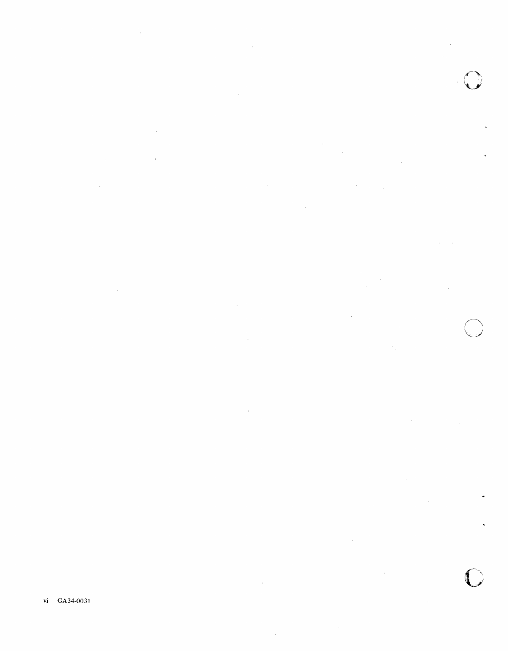$\bar{z}$ 

 $\bar{z}$ 

ï

 $\bar{z}$ 

 $\bar{z}$  $\sim$ 

 $\hat{\boldsymbol{\theta}}$  $\epsilon$ 

 $\bar{z}$ 

 $\bar{z}$  $\bar{z}$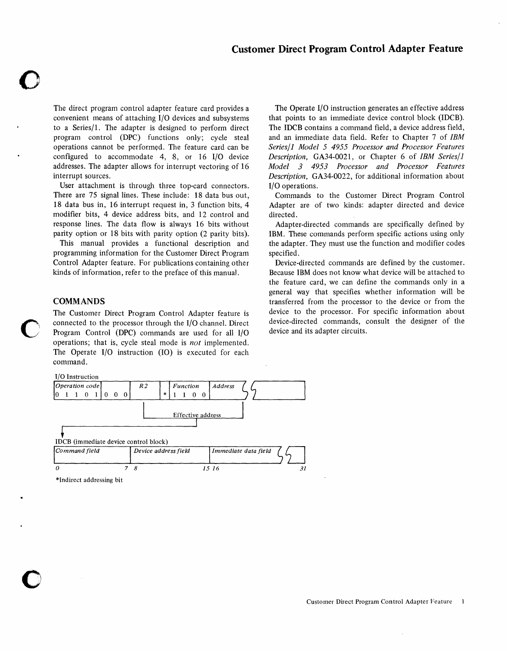### **Customer Direct Program Control Adapter Feature**

The direct program control adapter feature card provides a convenient means of attaching I/O devices and subsystems to a Series/I. The adapter is designed to perform direct program control (DPC) functions only; cycle steal operations cannot be performyd. The feature card can be configured to accommodate 4, 8, or 16 I/O device addresses. The adapter allows for interrupt vectoring of 16 interrupt sources.

User attachment is through three top-card connectors. There are 75 signal lines. These include: 18 data bus out, 18 data bus in, 16 interrupt request in, 3 function bits, 4 modifier bits, 4 device address bits, and 12 control and response lines. The data flow is always 16 bits without parity option or 18 bits with parity option (2 parity bits).

This manual provides a functional description and programming information for the Customer Direct Program Control Adapter feature. For publications containing other kinds of information, refer to the preface of this manual.

### **COMMANDS**

o

The Customer Direct Program Control Adapter feature is connected to the processor through the I/O channel. Direct Program Control (DPC) commands are used for all I/O operations; that is, cycle steal mode is *not* implemented. The Operate I/O instruction (IO) is executed for each command.

The Operate I/O instruction generates an effective address that points to an immediate device control block (lDCB). The IDCB contains a command field, a device address field, and an immediate data field. Refer to Chapter 7 of *IBM Series/l Model* 5 4955 *Processor and Processor Features Description,* GA34-0021, or Chapter 6 of *IBM Series/l Model* 3 4953 *Processor and Processor Features Description,* GA34-0022, for additional information about I/O operations.

Commands to the Customer Direct Program Control Adapter are of two kinds: adapter directed and device directed.

Adapter-directed commands are specifically defined by IBM. These commands perform specific actions using only the adapter. They must use the function and modifier codes specified.

Device-directed commands are defined by the customer. Because IBM does not know what device will be attached to the feature card, we can define the commands only in a general way that specifies whether information will be transferred from the processor to the device or from the device to the processor. For specific information about device-directed commands, consult the designer of the device and its adapter circuits.

I/O Instruction



\*Indirect addressing bit

c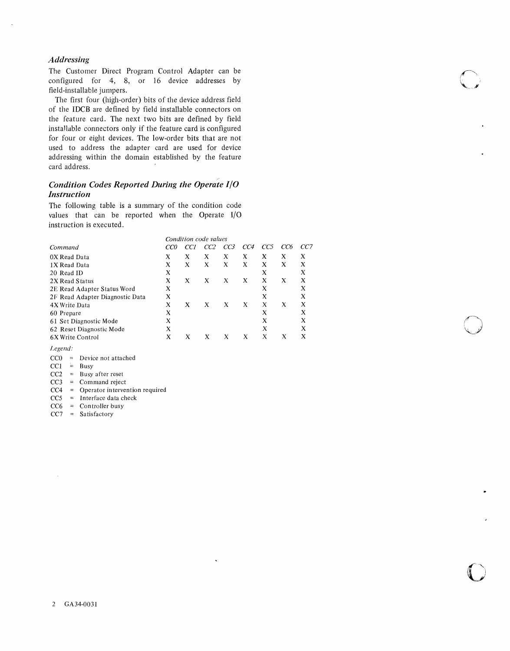### *Addressing*

The Customer Direct Program Control Adapter can be configured for 4, 8, or 16 device addresses by field-installable jumpers.

The first four (high-order) bits of the device address field of the IDCB are defined by field installable connectors on the feature card. The next two bits are defined by field installable connectors only if the feature card is configured for four or eight devices. The low-order bits that are not used to address the adapter card are used for device addressing within the domain established by the feature card address.

### *Condition Codes Reported During the Operate I/O Instruction*

The following table is a summary of the condition code values that can be reported when the Operate I/O instruction is executed.

|                                        | Condition code values |     |     |     |     |     |     |     |  |  |  |  |
|----------------------------------------|-----------------------|-----|-----|-----|-----|-----|-----|-----|--|--|--|--|
| Command                                | CC0                   | CC1 | CC2 | CC3 | CC4 | CC5 | CC6 | CC7 |  |  |  |  |
| 0X Read Data                           | х                     | Х   | Х   | X   | X   | X   | X   | X   |  |  |  |  |
| 1X Read Data                           | X                     | X   | X   | X   | X   | X   | X   | X   |  |  |  |  |
| 20 Read ID                             | X                     |     |     |     |     | X   |     | X   |  |  |  |  |
| 2X Read Status                         | X                     | X   | X   | X   | X   | X   | X   | X   |  |  |  |  |
| 2E Read Adapter Status Word            | X                     |     |     |     |     | х   |     | X   |  |  |  |  |
| 2F Read Adapter Diagnostic Data        | X                     |     |     |     |     | X   |     | X   |  |  |  |  |
| 4X Write Data                          | X                     | Х   | Х   | X   | X   | X   | X   | X   |  |  |  |  |
| 60 Prepare                             | X                     |     |     |     |     | х   |     | X   |  |  |  |  |
| 61 Set Diagnostic Mode                 | X                     |     |     |     |     | X   |     | Х   |  |  |  |  |
| 62 Reset Diagnostic Mode               | X                     |     |     |     |     | Х   |     | X   |  |  |  |  |
| 6X Write Control                       | X                     | X   | X   | X   | X   | X   | Х   | X   |  |  |  |  |
| Legend:                                |                       |     |     |     |     |     |     |     |  |  |  |  |
| CC0<br>Device not attached<br>$\equiv$ |                       |     |     |     |     |     |     |     |  |  |  |  |
| $\sim$ $\sim$ $\sim$<br>D.             |                       |     |     |     |     |     |     |     |  |  |  |  |

 $\bigcirc$ 

 $CC1 = Busy$ 

 $CC2 = Busy$  after reset

 $CC3 = Command reject$ 

 $CC4 = Operator intervention required$ 

 $CC5 =$  Interface data check

 $CC6 =$  Controller busy

 $CC7 = Satisfactory$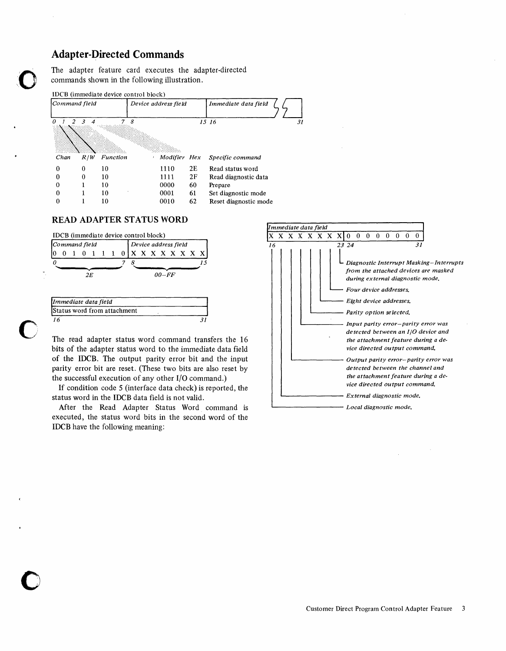# **Adapter-Directed Commands**

 $\bullet$ 

c

The adapter feature card executes the adapter-directed commands shown in the following illustration.

|                       |          |                            | IDCB (immediate device control block) |                                      |                            |                                                                                                     |    |
|-----------------------|----------|----------------------------|---------------------------------------|--------------------------------------|----------------------------|-----------------------------------------------------------------------------------------------------|----|
| Command field         |          |                            | Device address field                  |                                      |                            | Immediate data field                                                                                |    |
| 2<br>Ω<br>Chan        | 3<br>R/W | Function                   | 8                                     | Modifier Hex                         |                            | 15 16<br>Specific command                                                                           | 31 |
| 0<br>0<br>O<br>0<br>0 | 0<br>0   | 10<br>10<br>10<br>10<br>10 |                                       | 1110<br>1111<br>0000<br>0001<br>0010 | 2E<br>2F<br>60<br>61<br>62 | Read status word<br>Read diagnostic data<br>Prepare<br>Set diagnostic mode<br>Reset diagnostic mode |    |

### **READ ADAPTER STATUS WORD**

IOCB (immediate device control block) *Command field Device address field*  001 01 1 1 0 **X X X X X X X X** *o* 7 8 15  $\frac{1}{\sqrt{1-\frac{1}{2}}}\frac{8}{2\sqrt{1-\frac{1}{2}}}\frac{1}{2}$ *2E OO-FF* 

| Immediate data field        |  |
|-----------------------------|--|
| Status word from attachment |  |
| 16                          |  |

The read adapter status word command transfers the 16 bits of the adapter status word to the immediate data field of the **IDCB.** The output parity error bit and the input parity error bit are reset. (These two bits are also reset by the successful execution of any other I/O command.)

If condition code 5 (interface data check) is reported, the status word in the **IDCB** data field is not valid.

After the Read Adapter Status Word command is executed, the status word bits in the second word of the **IDCB** have the following meaning:

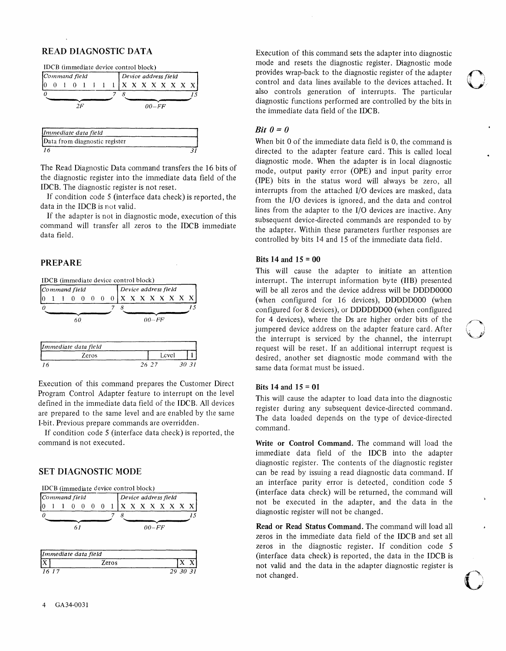### READ DIAGNOSTIC DATA



The Read Diagnostic Data command transfers the 16 bits of the diagnostic register into the immediate data field of the IDCB. The diagnostic register is not reset.

If condition code 5 (interface data check) is reported, the data in the IDCB is not valid.

If the adapter is not in diagnostic mode, execution of this command will transfer all zeros to the IDCB immediate data field.

### PREPARE

| IDCB (immediate device control block) |  |                |           |                   |  |   |   |                      |  |       |  |                        |  |       |
|---------------------------------------|--|----------------|-----------|-------------------|--|---|---|----------------------|--|-------|--|------------------------|--|-------|
| Command field                         |  |                |           |                   |  |   |   | Device address field |  |       |  |                        |  |       |
|                                       |  | $\overline{0}$ |           | $0\quad 0\quad 0$ |  | 0 |   |                      |  |       |  | <b>X X X X X X X X</b> |  |       |
| 0                                     |  |                |           |                   |  |   | 8 |                      |  |       |  |                        |  | 15    |
| 60                                    |  |                | $00 - FF$ |                   |  |   |   |                      |  |       |  |                        |  |       |
| Immediate data field                  |  |                |           |                   |  |   |   |                      |  |       |  |                        |  |       |
|                                       |  |                |           | Zeros             |  |   |   |                      |  |       |  | Level                  |  |       |
|                                       |  |                |           |                   |  |   |   |                      |  | 26 27 |  |                        |  | 30 31 |

Execution of this command prepares the Customer Direct Program Control Adapter feature to interrupt on the level defined in the immediate data field of the IDCB. All devices are prepared to the same level and are enabled by the same I-bit. Previous prepare commands are overridden.

If condition code 5 (interface data check) is reported, the command is not executed.

### SET DIAGNOSTIC MODE



Execution of this command sets the adapter into diagnostic mode and resets the diagnostic register. Diagnostic mode provides wrap-back to the diagnostic register of the adapter control and data lines available to the devices attached. It also controls generation of interrupts. The particular diagnostic functions performed are controlled by the bits in the immediate data field of the IDCB.

### *Bit*  $0 = 0$

When bit 0 of the immediate data field is 0, the command is directed to the adapter feature card. This is called local diagnostic mode. When the adapter is in local diagnostic mode, output parity error (OPE) and input parity error (IPE) bits in the status word will always be zero, all interrupts from the attached I/O devices are masked, data from the I/O devices is ignored, and the data and control lines from the adapter to the I/O devices are inactive. Any subsequent device-directed commands are responded to by the adapter. Within these parameters further responses are controlled by bits 14 and 15 of the immediate data field.

### Bits 14 and  $15 = 00$

This will cause the adapter to initiate an attention interrupt. The interrupt information byte (lIB) presented will be all zeros and the device address will be DDDDOOOO (when configured for 16 devices), DDDDDOOO (when configured for 8 devices), or DDDDDDOO (when configured for 4 devices), where the Ds are higher order bits of the jumpered device address on the adapter feature card. After the interrupt is serviced by the channel, the interrupt request will be reset. If an additional interrupt request is desired, another set diagnostic mode command with the same data format must be issued.

### Bits 14 and 15 = 01

This will cause the adapter to load data into the diagnostic register during any subsequent device-directed command. The data loaded depends on the type of device-directed command.

Write or Control Command. The command will load the immediate data field of the IDCB into the adapter diagnostic register. The contents of the diagnostic register can be read by issuing a read diagnostic data command. If an interface parity error is detected, condition code 5 (interface data check) will be returned, the command will not be executed in the adapter, and the data in the diagnostic register will not be changed.

Read or Read Status Command. The command will load all zeros in the immediate data field of the IDCB and set all zeros in the diagnostic register. If condition code 5 (interface data check) is reported, the data in the IDCB is not valid and the data in the adapter diagnostic register is not changed.

o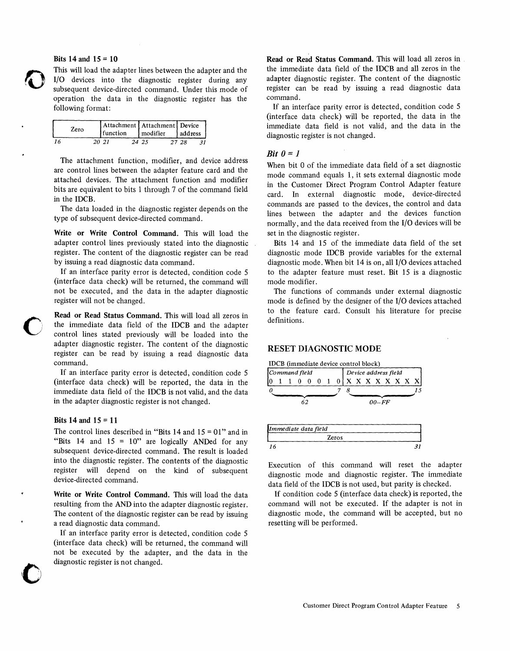### Bits 14 and 15 = 10



 $\overline{\mathbf{C}}$ 

This will load the adapter lines between the adapter and the I/O devices into the diagnostic register during any subsequent device-directed command. Under this mode of operation the data in the diagnostic register has the following format:

|    | Zero | function | Attachment   Attachment   Device<br>modifier | address 1 |
|----|------|----------|----------------------------------------------|-----------|
| 16 |      | 20 21    | 24 25                                        | 27 28     |

The attachment function, modifier, and device address are control lines between the adapter feature card and the attached devices. The attachment function and modifier bits are equivalent to bits 1 through 7 of the command field in the IDCB.

The data loaded in the diagnostic register depends on the type of subsequent device-directed command.

Write or Write Control Command. This will load the adapter control lines previously stated into the diagnostic register. The content of the diagnostic register can be read by issuing a read diagnostic data command.

If an interface parity error is detected, condition code 5 (interface data check) will be returned, the command will not be executed, and the data in the adapter diagnostic register will not be changed.

Read or Read Status Command. This will load all zeros in the immediate data field of the IDCB and the adapter control lines stated previously will be loaded into the adapter diagnostic register. The content of the diagnostic register can be read by issuing a read diagnostic data command.

If an interface parity error is detected, condition code 5 (interface data check) will be reported, the data in the immediate data field of the IDCB is not valid, and the data in the adapter diagnostic register is not changed.

### Bits 14 and 15 = 11

The control lines described in "Bits 14 and 15 = 01" and in "Bits 14 and  $15 = 10$ " are logically ANDed for any subsequent device-directed command. The result is loaded into the diagnostic register. The contents of the diagnostic register will depend on the kind of subsequent device-directed command.

Write or Write Control Command. This will load the data resulting from the AND into the adapter diagnostic register. The content of the diagnostic register can be read by issuing a read diagnostic data command.

If an interface parity error is detected, condition code 5 (interface data check) will be returned, the command will not be executed by the adapter, and the data in the diagnostic register is not changed.

Read or Read Status Command. This will load all zeros in . the immediate data field of the IDCB and all zeros in the adapter diagnostic register. The content of the diagnostic register can be read by issuing a read diagnostic data command.

If an interface parity error is detected, condition code 5 (interface data check) will be reported, the data in the immediate data field is not valid, and the data in the diagnostic register is not changed.

### *Bit*  $0 = 1$

When bit 0 of the immediate data field of a set diagnostic mode command equals 1, it sets external diagnostic mode in the Customer Direct Program Control Adapter feature card. In external diagnostic mode, device-directed commands are passed to the devices, the control and data lines between the adapter and the devices function normally, and the data received from the I/O devices will be set in the diagnostic register.

Bits 14 and 15 of the immediate data field of the set diagnostic mode IDCB provide variables for the external diagnostic mode. When bit 14 is on, all I/O devices attached to the adapter feature must reset. Bit 15 is a diagnostic mode modifier.

The functions of commands under external diagnostic mode is defined by the designer of the I/O devices attached to the feature card. Consult his literature for precise definitions.

### RESET DIAGNOSTIC MODE

IDCB (immediate device control block) *Command field Device address field* 

|    |  | ICommuna nem |                          |  | t Device adaress field |  |           |  |  |  |
|----|--|--------------|--------------------------|--|------------------------|--|-----------|--|--|--|
| I٥ |  |              | $0\quad 0\quad 0\quad 1$ |  | 0   X X X X X X X X    |  |           |  |  |  |
|    |  |              |                          |  |                        |  |           |  |  |  |
|    |  |              |                          |  |                        |  | $00 - FF$ |  |  |  |

| Immediate data field |  |  |  |  |  |  |
|----------------------|--|--|--|--|--|--|
| Zeros                |  |  |  |  |  |  |
| 16                   |  |  |  |  |  |  |

Execution of this command will reset the adapter diagnostic mode and diagnostic register. The immediate data field of the IDCB is not used, but parity is checked.

If condition code 5 (interface data check) is reported, the command will not be executed. If the adapter is not in diagnostic mode, the command will be accepted, but no resetting will be performed.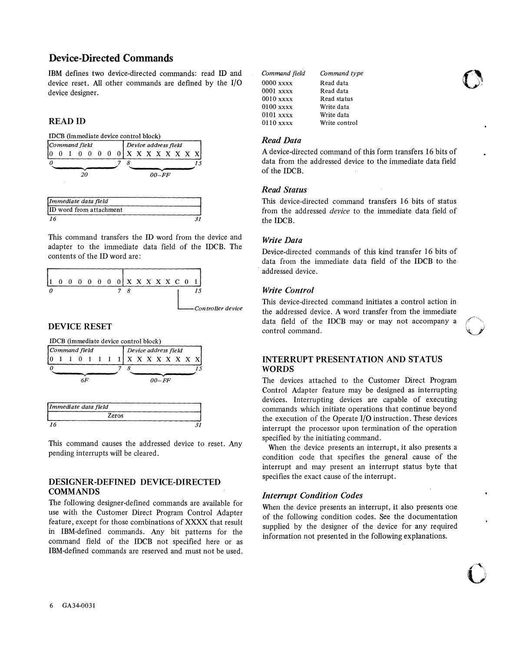# **Device-Directed Commands**

IBM defines two device-directed commands: read ID and device reset. All other commands are defined by the  $I/O$ device designer.

### READID



This command transfers the ID word from the device and adapter to the immediate data field of the IDCB. The contents of the ID word are:



### DEVICE RESET



This command causes the addressed device to reset. Any pending interrupts will be cleared.

### DESIGNER-DEFINED DEVICE-DIRECTED COMMANDS

The following designer-defined commands are available for use with the Customer Direct Program Control Adapter feature, except for those combinations of XXXX that result in IBM-defined commands. Any bit patterns for the command field of the IDCB not specified here or as IBM-defined commands are reserved and must not be used.

| Command field | Command type  |
|---------------|---------------|
| $0000$ xxxx   | Read data     |
| $0001$ xxxx   | Read data     |
| 0010 xxxx     | Read status   |
| 0100 xxxx     | Write data    |
| 0101 xxxx     | Write data    |
| 0110 xxxx     | Write control |

### *Read Data*

A device-directed command of this form transfers 16 bits of data from the addressed device to the immediate data field of the IDCB.

0

 $\sqrt{2}$  $\vee$ 

### *Read Status*

This device-directed command transfers 16 bits of status from the addressed *device* to the immediate data field of the IDCB.

### *Write Data*

Device-directed commands of this kind transfer 16 bits of data from the immediate data field of the IDCB to the , addressed device.

### *Write Control*

This device-directed command initiates a control action in the addressed device. A word transfer from the immediate data field of the IDCB may or may not accompany a control command.

### INTERRUPT PRESENTATION AND STATUS WORDS

The devices attached to the Customer Direct Program Control Adapter feature may be designed as interrupting devices. Interrupting devices are capable of executing commands which initiate operations that continue beyond the execution of the Operate I/O instruction. These devices interrupt the processor upon termination of the operation specified by the initiating command.

When the device presents an interrupt, it also presents a condition code that specifies the general cause of the interrupt and may present an interrupt status byte that specifies the exact cause of the interrupt.

### *Interrupt Condition Codes*

When the device presents an interrupt, it also presents one of the following condition codes. See the documentation supplied by the designer of the device for any required information not presented in the following explanations.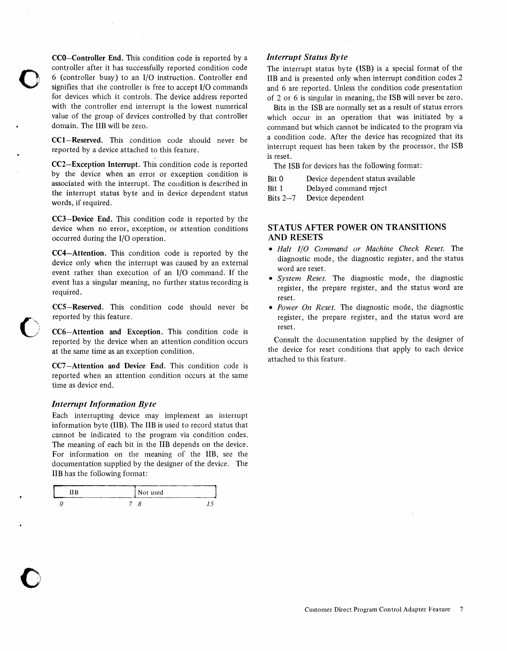CCO-Controller End. This condition code is reported by a controller after it has successfully reported condition code 6 (controller busy) to an I/O instruction. Controller end signifies that the controller is free to accept I/O commands for devices which it controls. The device address reported with the controller end interrupt is the lowest numerical value of the group of devices controlled by that controller domain. The lIB will be zero.

o

 $\bullet$ 

o

CCI-Reserved. This condition code should never be reported by a device attached to this feature.

CC2-Exception Interrupt. This condition code is reported by the device when an error or exception condition is associated with the interrupt. The condition is described in the interrupt status byte and in device dependent status words, if required.

CC3-Device End. This condition code is reported by the device when no error, exception, or attention conditions occurred during the I/O operation.

CC4-Attention. This condition code is reported by the device only when the interrupt was caused by an external event rather than execution of an I/O command. If the event has a singular meaning, no further status recording is required.

CCS-Reserved. This condition code should never be reported by this feature.

CC6-Attention and Exception. This condition code is reported by the device when an attention condition occurs at the same time as an exception condition.

CC7 -Attention and Device End. This condition code is reported when an attention condition occurs at the same time as device end.

### *Interrupt Information Byte*

Each interrupting device may implement an interrupt information byte (lIB). The lIB is used to record status that cannot be indicated to the program via condition codes. The meaning of each bit in the lIB depends on the device. For information on the meaning of the lIB, see the documentation supplied by the designer of the device. The lIB has the following format:



### *Interrupt Status Byte*

The interrupt status byte (ISB) is a special format of the lIB and is presented only when interrupt condition codes 2 and 6 are reported. Unless the condition code presentation of 2 or 6 is singular in meaning, the ISB will never be zero.

Bits in the ISB are normally set as a result of status errors which occur in an operation that was initiated by a command but which cannot be indicated to the program via a condition code. After the device has recognized that its interrupt request has been taken by the processor, the ISB is reset.

The ISB for devices has the following format:

Bit 0 Device dependent status available

Bit 1 Delayed command reject

Bits  $2-7$ Device dependent

### STATUS AFTER POWER ON TRANSITIONS AND RESETS

- *Halt I/O Command or Machine Check Reset.* The diagnostic mode, the diagnostic register, and the status word are reset.
- *System Reset.* The diagnostic mode, the diagnostic register, the prepare register, and the status word are reset.
- *Power On Reset.* The diagnostic mode, the diagnostic register, the prepare register, and the status word are reset.

Consult the documentation supplied by the designer of the device for reset conditions that apply to each device attached to this feature.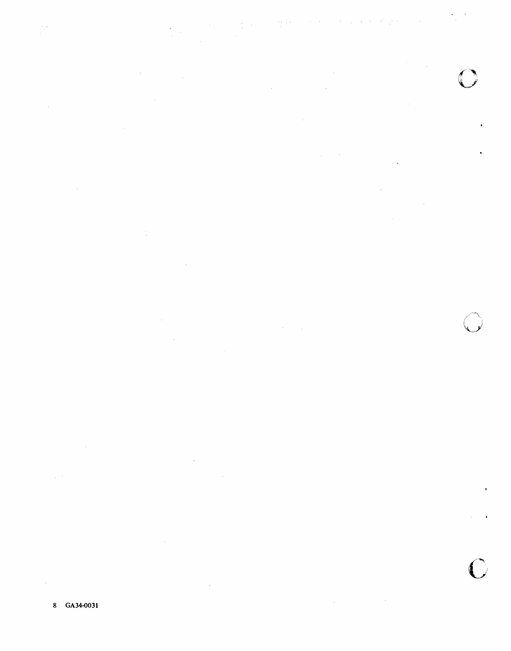$\mathcal{L}^{\pm}$ 

 $\sim 5\%$ 

 $\frac{1}{2} \left( \frac{1}{2} \right)$ 

 $\frac{1}{2} \frac{1}{2} \frac{1}{2}$ 

 $\sim$   $\sim$ 

 $\sim 10^{11}$  km s  $^{-1}$ 

 $\bar{z}$ 

 $\mathcal{L}(\mathcal{L}^{\mathcal{L}})$  and  $\mathcal{L}(\mathcal{L}^{\mathcal{L}})$  .  $\mathcal{L}^{\text{max}}_{\text{max}}$ 

 $\label{eq:2.1} \frac{1}{\sqrt{2\pi}}\left(\frac{1}{\sqrt{2\pi}}\right)^{2/3}\frac{1}{\sqrt{2\pi}}\left(\frac{1}{\sqrt{2\pi}}\right)^{2/3}\frac{1}{\sqrt{2\pi}}\left(\frac{1}{\sqrt{2\pi}}\right)^{2/3}\frac{1}{\sqrt{2\pi}}\left(\frac{1}{\sqrt{2\pi}}\right)^{2/3}\frac{1}{\sqrt{2\pi}}\left(\frac{1}{\sqrt{2\pi}}\right)^{2/3}\frac{1}{\sqrt{2\pi}}\frac{1}{\sqrt{2\pi}}\frac{1}{\sqrt{2\pi}}\frac{1}{\sqrt{2\$ 

 $\mathcal{L}(\mathcal{L})$  , and  $\mathcal{L}(\mathcal{L})$ 

 $\mathcal{L}^{\text{max}}_{\text{max}}$  and  $\mathcal{L}^{\text{max}}_{\text{max}}$ 

 $\mathcal{L}(\mathcal{L}(\mathcal{L}))$  . The set of  $\mathcal{L}(\mathcal{L})$  $\mathcal{O}(\mathcal{O}(1))$  . The  $\mathcal{O}(\mathcal{O}(1))$ 

 $\label{eq:2.1} \mathcal{L}(\mathcal{L}^{\text{max}}_{\text{max}}(\mathcal{L}^{\text{max}}_{\text{max}}), \mathcal{L}^{\text{max}}_{\text{max}}(\mathcal{L}^{\text{max}}_{\text{max}}))$ 

 $\label{eq:2.1} \mathcal{L}(\mathcal{L}^{\text{max}}_{\mathcal{L}}(\mathcal{L}^{\text{max}}_{\mathcal{L}})) \leq \mathcal{L}(\mathcal{L}^{\text{max}}_{\mathcal{L}}(\mathcal{L}^{\text{max}}_{\mathcal{L}}))$  $\mathcal{L}$  $\sim 10^{11}$ 

 $\sim 10^{-10}$ 

 $\mathcal{L}^{(1)}$ 

 $\sim$ 

 $\sim 10^{-1}$ 

 $\label{eq:2} \Delta_{\rm{max}} = \sqrt{2\pi\left(\Delta_{\rm{max}}\right)^2} \left( \frac{2\pi}{\Lambda_{\rm{max}}}\right)^2 \left( \frac{2\pi}{\Lambda_{\rm{max}}} \right)^2.$ 

 $\sim 10^{-1}$ 

 $\hat{\mathcal{L}}$ 

 $\frac{1}{\sqrt{2}}\left(\frac{1}{\sqrt{2}}\right)$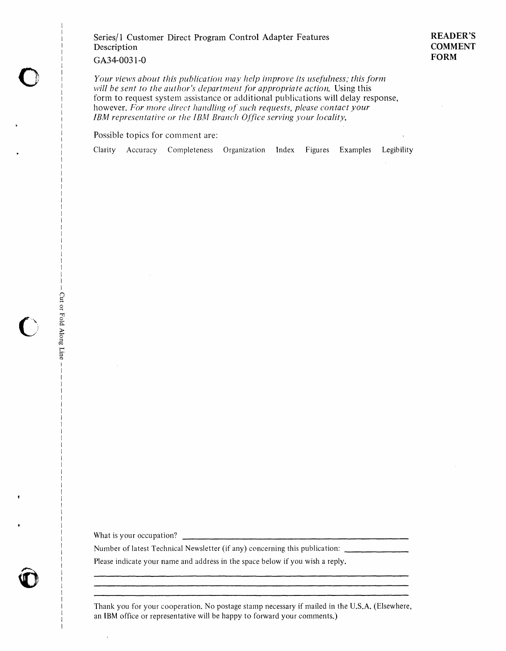# Series/1 Customer Direct Program Control Adapter Features Description

GA34-0031-0

Cut or Fold Along Line

**READER'S COMMENT FORM** 

*Your views about this publication may help improve its usefulness; this form* will be sent to the author's department for appropriate action. Using this form to request system assistance or additional publications will delay response, however. For more direct handling of such requests, please contact your *IBM representative or the IBM Branch Office serving your locality.* 

Possible topics for comment are:

Clarity Accuracy Completeness Organization Index Figures Examples Legibility

What is your occupation?

Number of latest Technical Newsletter (if any) concerning this publication:

Please indicate your name and address in the space below if you wish a reply.

Thank you for your cooperation. No postage stamp necessary if mailed in the U.S.A. (Elsewhere, an IBM office or representative will be happy to forward your comments.)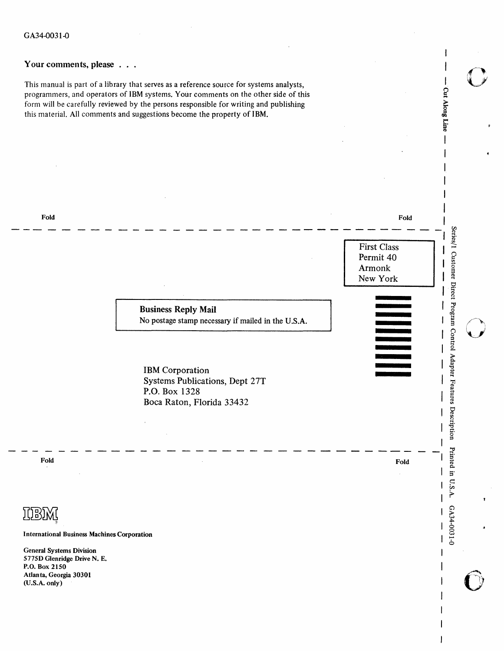### Your comments, please . . .

This manual is part of a library that serves as a reference source for systems analysts, programmers, and operators of IBM systems. Your comments on the other side of this form will be carefully reviewed by the persons responsible for writing and publishing this material. All comments and suggestions become the property of IBM.

Fold

**Business Reply Mail** No postage stamp necessary if mailed in the U.S.A.

**IBM** Corporation Systems Publications, Dept 27T P.O. Box 1328 Boca Raton, Florida 33432

Fold

)()3)

**International Business Machines Corporation** 

**General Systems Division** 5775D Glenridge Drive N. E. P.O. Box 2150 Atlanta, Georgia 30301 (U.S.A. only)

Printed in

 $0.5$ .  $\overline{\phantom{a}}$ 

GA34-0031-0

 $\mathbf{I}$ 

 $\overline{\phantom{a}}$ 

I

Fold

Series/1 Customer Direct Program Control Adapter Features Description

 $\overline{\phantom{a}}$  $\overline{\phantom{a}}$ 

Cut Along Line

Fold

**First Class** Permit 40 Armonk New York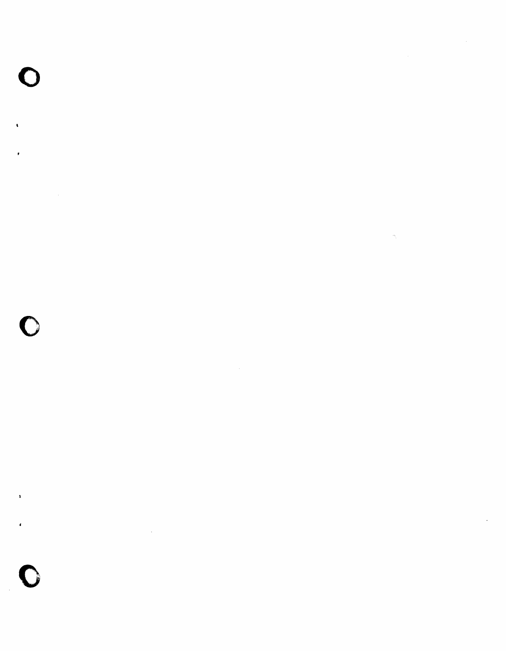